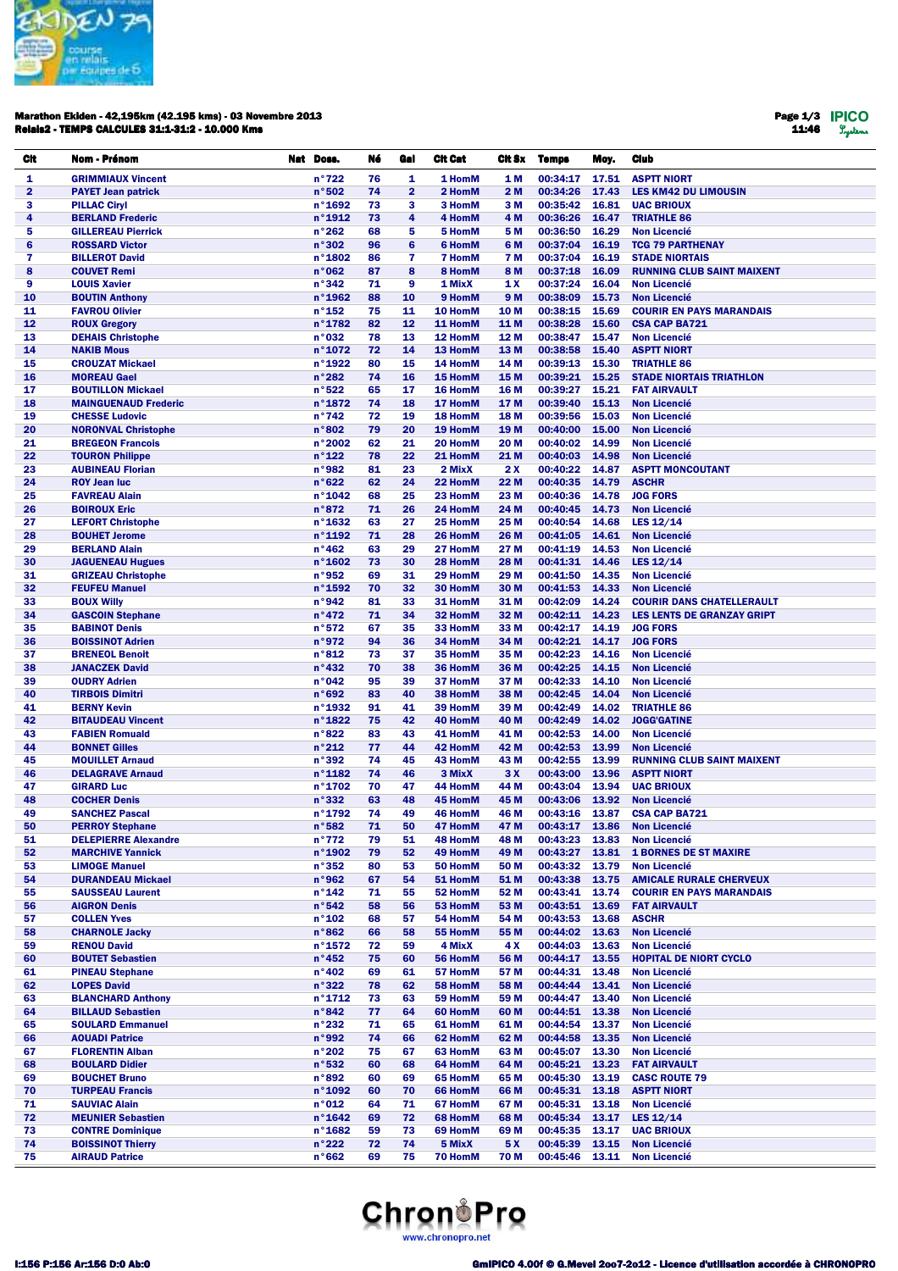

#### Marathon Ekiden - 42,195km (42.195 kms) - 03 Novembre 2013 Relais2 - TEMPS CALCULES 31:1-31:2 - 10.000 Kms

Page 1/3 11:46

| CIt                     | Nom - Prénom                                          | Nat Doss. |                           | Né       | Gal            | <b>Cit Cat</b>     | Cit Sx                  | <b>Temps</b>         | Moy.           | <b>Club</b>                                        |
|-------------------------|-------------------------------------------------------|-----------|---------------------------|----------|----------------|--------------------|-------------------------|----------------------|----------------|----------------------------------------------------|
| 1                       | <b>GRIMMIAUX Vincent</b>                              |           | n°722                     | 76       | 1              | 1 HomM             | 1 M                     | 00:34:17             | 17.51          | <b>ASPTT NIORT</b>                                 |
| $\overline{\mathbf{2}}$ | <b>PAYET Jean patrick</b>                             |           | n°502                     | 74       | $\overline{2}$ | 2 HomM             | 2 M                     | 00:34:26             | 17.43          | <b>LES KM42 DU LIMOUSIN</b>                        |
| 3                       | <b>PILLAC Ciryl</b>                                   |           | n°1692                    | 73       | 3              | 3 HomM             | 3 M                     | 00:35:42             | 16.81          | <b>UAC BRIOUX</b>                                  |
| 4                       | <b>BERLAND Frederic</b>                               |           | n°1912                    | 73       | 4              | 4 HomM             | 4 M                     | 00:36:26             | 16.47          | <b>TRIATHLE 86</b>                                 |
| 5<br>6                  | <b>GILLEREAU Pierrick</b><br><b>ROSSARD Victor</b>    |           | n°262<br>n°302            | 68<br>96 | 5<br>6         | 5 HomM<br>6 HomM   | 5 M<br>6 M              | 00:36:50<br>00:37:04 | 16.29<br>16.19 | <b>Non Licencié</b><br><b>TCG 79 PARTHENAY</b>     |
| 7                       | <b>BILLEROT David</b>                                 |           | n°1802                    | 86       | 7              | <b>7 HomM</b>      | 7 M                     | 00:37:04             | 16.19          | <b>STADE NIORTAIS</b>                              |
| 8                       | <b>COUVET Remi</b>                                    |           | n°062                     | 87       | 8              | 8 HomM             | 8 M                     | 00:37:18             | 16.09          | <b>RUNNING CLUB SAINT MAIXENT</b>                  |
| 9                       | <b>LOUIS Xavier</b>                                   |           | n°342                     | 71       | 9              | 1 MixX             | 1 X                     | 00:37:24             | 16.04          | <b>Non Licencié</b>                                |
| 10                      | <b>BOUTIN Anthony</b>                                 |           | n°1962                    | 88       | 10             | 9 HomM             | 9 M                     | 00:38:09             | 15.73          | <b>Non Licencié</b>                                |
| 11                      | <b>FAVROU Olivier</b>                                 |           | $n^{\circ}$ 152           | 75       | 11             | 10 HomM            | 10 M                    | 00:38:15             | 15.69          | <b>COURIR EN PAYS MARANDAIS</b>                    |
| 12<br>13                | <b>ROUX Gregory</b>                                   |           | n°1782<br>n°032           | 82<br>78 | 12<br>13       | 11 HomM<br>12 HomM | 11 M<br>12 M            | 00:38:28<br>00:38:47 | 15.60<br>15.47 | <b>CSA CAP BA721</b><br><b>Non Licencié</b>        |
| 14                      | <b>DEHAIS Christophe</b><br><b>NAKIB Mous</b>         |           | n°1072                    | 72       | 14             | 13 HomM            | 13 M                    | 00:38:58             | 15.40          | <b>ASPTT NIORT</b>                                 |
| 15                      | <b>CROUZAT Mickael</b>                                |           | n°1922                    | 80       | 15             | 14 HomM            | 14 M                    | 00:39:13             | 15.30          | <b>TRIATHLE 86</b>                                 |
| 16                      | <b>MOREAU Gael</b>                                    |           | n°282                     | 74       | 16             | 15 HomM            | 15 M                    | 00:39:21             | 15.25          | <b>STADE NIORTAIS TRIATHLON</b>                    |
| 17                      | <b>BOUTILLON Mickael</b>                              |           | n°522                     | 65       | 17             | 16 HomM            | 16 M                    | 00:39:27             | 15.21          | <b>FAT AIRVAULT</b>                                |
| 18                      | <b>MAINGUENAUD Frederic</b>                           |           | n°1872                    | 74       | 18             | 17 HomM            | 17 M                    | 00:39:40             | 15.13          | <b>Non Licencié</b>                                |
| 19                      | <b>CHESSE Ludovic</b>                                 |           | $n^{\circ}742$            | 72       | 19             | 18 HomM            | 18 M                    | 00:39:56             | 15.03          | <b>Non Licencié</b>                                |
| 20<br>21                | <b>NORONVAL Christophe</b><br><b>BREGEON Francois</b> |           | n°802<br>n°2002           | 79<br>62 | 20<br>21       | 19 HomM<br>20 HomM | 19 <sub>M</sub><br>20 M | 00:40:00<br>00:40:02 | 15.00<br>14.99 | <b>Non Licencié</b><br><b>Non Licencié</b>         |
| 22                      | <b>TOURON Philippe</b>                                |           | $n^{\circ}$ 122           | 78       | 22             | 21 HomM            | 21 M                    | 00:40:03             | 14.98          | <b>Non Licencié</b>                                |
| 23                      | <b>AUBINEAU Florian</b>                               |           | n°982                     | 81       | 23             | 2 MixX             | 2X                      | 00:40:22             | 14.87          | <b>ASPTT MONCOUTANT</b>                            |
| 24                      | <b>ROY Jean luc</b>                                   |           | n°622                     | 62       | 24             | 22 HomM            | 22 M                    | 00:40:35             | 14.79          | <b>ASCHR</b>                                       |
| 25                      | <b>FAVREAU Alain</b>                                  |           | n°1042                    | 68       | 25             | 23 HomM            | 23 M                    | 00:40:36             | 14.78          | <b>JOG FORS</b>                                    |
| 26                      | <b>BOIROUX Eric</b>                                   |           | n°872                     | 71       | 26             | 24 HomM            | 24 M                    | 00:40:45             | 14.73          | <b>Non Licencié</b>                                |
| 27                      | <b>LEFORT Christophe</b>                              |           | $n^{\circ}$ 1632          | 63       | 27             | 25 HomM            | 25 M                    | 00:40:54             | 14.68          | LES 12/14                                          |
| 28<br>29                | <b>BOUHET Jerome</b><br><b>BERLAND Alain</b>          |           | $n^{\circ}$ 1192<br>n°462 | 71<br>63 | 28<br>29       | 26 HomM<br>27 HomM | 26 M<br>27 M            | 00:41:05<br>00:41:19 | 14.61<br>14.53 | <b>Non Licencié</b><br><b>Non Licencié</b>         |
| 30                      | <b>JAGUENEAU Hugues</b>                               |           | $n^{\circ}$ 1602          | 73       | 30             | 28 HomM            | 28 M                    | 00:41:31             | 14.46          | LES 12/14                                          |
| 31                      | <b>GRIZEAU Christophe</b>                             |           | n°952                     | 69       | 31             | 29 HomM            | 29 M                    | 00:41:50             | 14.35          | <b>Non Licencié</b>                                |
| 32                      | <b>FEUFEU Manuel</b>                                  |           | $n^{\circ}$ 1592          | 70       | 32             | 30 HomM            | 30 M                    | 00:41:53             | 14.33          | <b>Non Licencié</b>                                |
| 33                      | <b>BOUX Willy</b>                                     |           | n°942                     | 81       | 33             | 31 HomM            | 31 M                    | 00:42:09             | 14.24          | <b>COURIR DANS CHATELLERAULT</b>                   |
| 34                      | <b>GASCOIN Stephane</b>                               |           | n°472                     | 71       | 34             | 32 HomM            | 32 M                    | 00:42:11 14.23       |                | <b>LES LENTS DE GRANZAY GRIPT</b>                  |
| 35<br>36                | <b>BABINOT Denis</b><br><b>BOISSINOT Adrien</b>       |           | n°572<br>n°972            | 67<br>94 | 35<br>36       | 33 HomM<br>34 HomM | 33 M<br>34 M            | 00:42:17<br>00:42:21 | 14.19<br>14.17 | <b>JOG FORS</b><br><b>JOG FORS</b>                 |
| 37                      | <b>BRENEOL Benoit</b>                                 |           | n°812                     | 73       | 37             | 35 HomM            | 35 M                    | 00:42:23             | 14.16          | <b>Non Licencié</b>                                |
| 38                      | <b>JANACZEK David</b>                                 |           | $n^{\circ}432$            | 70       | 38             | 36 HomM            | 36 M                    | 00:42:25             | 14.15          | <b>Non Licencié</b>                                |
| 39                      | <b>OUDRY Adrien</b>                                   |           | n°042                     | 95       | 39             | 37 HomM            | 37 M                    | 00:42:33             | 14.10          | <b>Non Licencié</b>                                |
| 40                      | <b>TIRBOIS Dimitri</b>                                |           | n°692                     | 83       | 40             | 38 HomM            | 38 M                    | 00:42:45             | 14.04          | <b>Non Licencié</b>                                |
| 41                      | <b>BERNY Kevin</b>                                    |           | $n°$ 1932                 | 91       | 41             | 39 HomM            | 39 M                    | 00:42:49             | 14.02          | <b>TRIATHLE 86</b>                                 |
| 42<br>43                | <b>BITAUDEAU Vincent</b><br><b>FABIEN Romuald</b>     |           | n°1822<br>n°822           | 75<br>83 | 42<br>43       | 40 HomM<br>41 HomM | 40 M<br>41 M            | 00:42:49<br>00:42:53 | 14.02<br>14.00 | <b>JOGG'GATINE</b><br><b>Non Licencié</b>          |
| 44                      | <b>BONNET Gilles</b>                                  |           | n°212                     | 77       | 44             | 42 HomM            | 42 M                    | 00:42:53             | 13.99          | <b>Non Licencié</b>                                |
| 45                      | <b>MOUILLET Arnaud</b>                                |           | n°392                     | 74       | 45             | 43 HomM            | 43 M                    | 00:42:55             | 13.99          | <b>RUNNING CLUB SAINT MAIXENT</b>                  |
| 46                      | <b>DELAGRAVE Arnaud</b>                               |           | $n^{\circ}$ 1182          | 74       | 46             | 3 MixX             | 3X                      | 00:43:00             | 13.96          | <b>ASPTT NIORT</b>                                 |
| 47                      | <b>GIRARD Luc</b>                                     |           | n°1702                    | 70       | 47             | 44 HomM            | 44 M                    | 00:43:04             | 13.94          | <b>UAC BRIOUX</b>                                  |
| 48                      | <b>COCHER Denis</b>                                   |           | n°332                     | 63       | 48             | 45 HomM            | 45 M                    | 00:43:06             | 13.92          | <b>Non Licencié</b>                                |
| 49                      | <b>SANCHEZ Pascal</b>                                 |           | n°1792                    | 74       | 49             | 46 HomM            | 46 M                    | 00:43:16             | 13.87          | <b>CSA CAP BA721</b>                               |
| 50<br>51                | <b>PERROY Stephane</b><br><b>DELEPIERRE Alexandre</b> |           | n°582<br>n°772            | 71<br>79 | 50<br>51       | 47 HomM<br>48 HomM | 47 M<br>48 M            | 00:43:23 13.83       |                | 00:43:17 13.86 Non Licencié<br><b>Non Licencié</b> |
| 52                      | <b>MARCHIVE Yannick</b>                               |           | $n°$ 1902                 | 79       | 52             | 49 HomM            | 49 M                    | 00:43:27             | 13.81          | <b>1 BORNES DE ST MAXIRE</b>                       |
| 53                      | <b>LIMOGE Manuel</b>                                  |           | n°352                     | 80       | 53             | 50 HomM            | 50 M                    | 00:43:32             | 13.79          | <b>Non Licencié</b>                                |
| 54                      | <b>DURANDEAU Mickael</b>                              |           | n°962                     | 67       | 54             | 51 HomM            | 51 M                    | 00:43:38             | 13.75          | <b>AMICALE RURALE CHERVEUX</b>                     |
| 55                      | <b>SAUSSEAU Laurent</b>                               |           | $n^{\circ}$ 142           | 71       | 55             | 52 HomM            | 52 M                    | 00:43:41             | 13.74          | <b>COURIR EN PAYS MARANDAIS</b>                    |
| 56                      | <b>AIGRON Denis</b>                                   |           | n°542                     | 58       | 56             | 53 HomM            | 53 M                    | 00:43:51             | 13.69          | <b>FAT AIRVAULT</b>                                |
| 57<br>58                | <b>COLLEN Yves</b><br><b>CHARNOLE Jacky</b>           |           | $n^{\circ}$ 102<br>n°862  | 68<br>66 | 57<br>58       | 54 HomM<br>55 HomM | 54 M<br>55 M            | 00:43:53<br>00:44:02 | 13.68<br>13.63 | <b>ASCHR</b><br><b>Non Licencié</b>                |
| 59                      | <b>RENOU David</b>                                    |           | $n^{\circ}$ 1572          | 72       | 59             | 4 MixX             | 4 X                     | 00:44:03             | 13.63          | <b>Non Licencié</b>                                |
| 60                      | <b>BOUTET Sebastien</b>                               |           | $n^{\circ}452$            | 75       | 60             | 56 HomM            | 56 M                    | 00:44:17             | 13.55          | <b>HOPITAL DE NIORT CYCLO</b>                      |
| 61                      | <b>PINEAU Stephane</b>                                |           | $n^{\circ}402$            | 69       | 61             | 57 HomM            | 57 M                    | 00:44:31             | 13.48          | <b>Non Licencié</b>                                |
| 62                      | <b>LOPES David</b>                                    |           | n°322                     | 78       | 62             | 58 HomM            | 58 M                    | 00:44:44             | 13.41          | <b>Non Licencié</b>                                |
| 63                      | <b>BLANCHARD Anthony</b>                              |           | $n^{\circ}$ 1712          | 73       | 63             | 59 HomM            | 59 M                    | 00:44:47             | 13.40          | <b>Non Licencié</b>                                |
| 64                      | <b>BILLAUD Sebastien</b>                              |           | n°842                     | 77       | 64             | 60 HomM            | 60 M                    | 00:44:51             | 13.38          | <b>Non Licencié</b>                                |
| 65<br>66                | <b>SOULARD Emmanuel</b><br><b>AOUADI Patrice</b>      |           | n°232<br>n°992            | 71<br>74 | 65<br>66       | 61 HomM<br>62 HomM | 61 M<br>62 M            | 00:44:54<br>00:44:58 | 13.37<br>13.35 | <b>Non Licencié</b><br><b>Non Licencié</b>         |
| 67                      | <b>FLORENTIN Alban</b>                                |           | n°202                     | 75       | 67             | 63 HomM            | 63 M                    | 00:45:07             | 13.30          | <b>Non Licencié</b>                                |
| 68                      | <b>BOULARD Didier</b>                                 |           | n°532                     | 60       | 68             | 64 HomM            | 64 M                    | 00:45:21             | 13.23          | <b>FAT AIRVAULT</b>                                |
| 69                      | <b>BOUCHET Bruno</b>                                  |           | n°892                     | 60       | 69             | 65 HomM            | 65 M                    | 00:45:30             | 13.19          | <b>CASC ROUTE 79</b>                               |
| 70                      | <b>TURPEAU Francis</b>                                |           | n°1092                    | 60       | 70             | 66 HomM            | 66 M                    | 00:45:31             | 13.18          | <b>ASPTT NIORT</b>                                 |
| 71                      | <b>SAUVIAC Alain</b>                                  |           | n°012                     | 64       | 71             | 67 HomM            | 67 M                    | 00:45:31 13.18       |                | <b>Non Licencié</b>                                |
| 72                      | <b>MEUNIER Sebastien</b>                              |           | $n^{\circ}$ 1642          | 69       | 72             | 68 HomM            | 68 M                    | 00:45:34             | 13.17          | LES 12/14<br><b>UAC BRIOUX</b>                     |
| 73<br>74                | <b>CONTRE Dominique</b><br><b>BOISSINOT Thierry</b>   |           | $n^{\circ}$ 1682<br>n°222 | 59<br>72 | 73<br>74       | 69 HomM<br>5 MixX  | 69 M<br>5 X             | 00:45:35<br>00:45:39 | 13.17<br>13.15 | <b>Non Licencié</b>                                |
| 75                      | <b>AIRAUD Patrice</b>                                 |           | n°662                     | 69       | 75             | 70 HomM            | 70 M                    |                      |                | 00:45:46 13.11 Non Licencié                        |

# **Chron**<sup>1</sup>Pro www.chronopro.net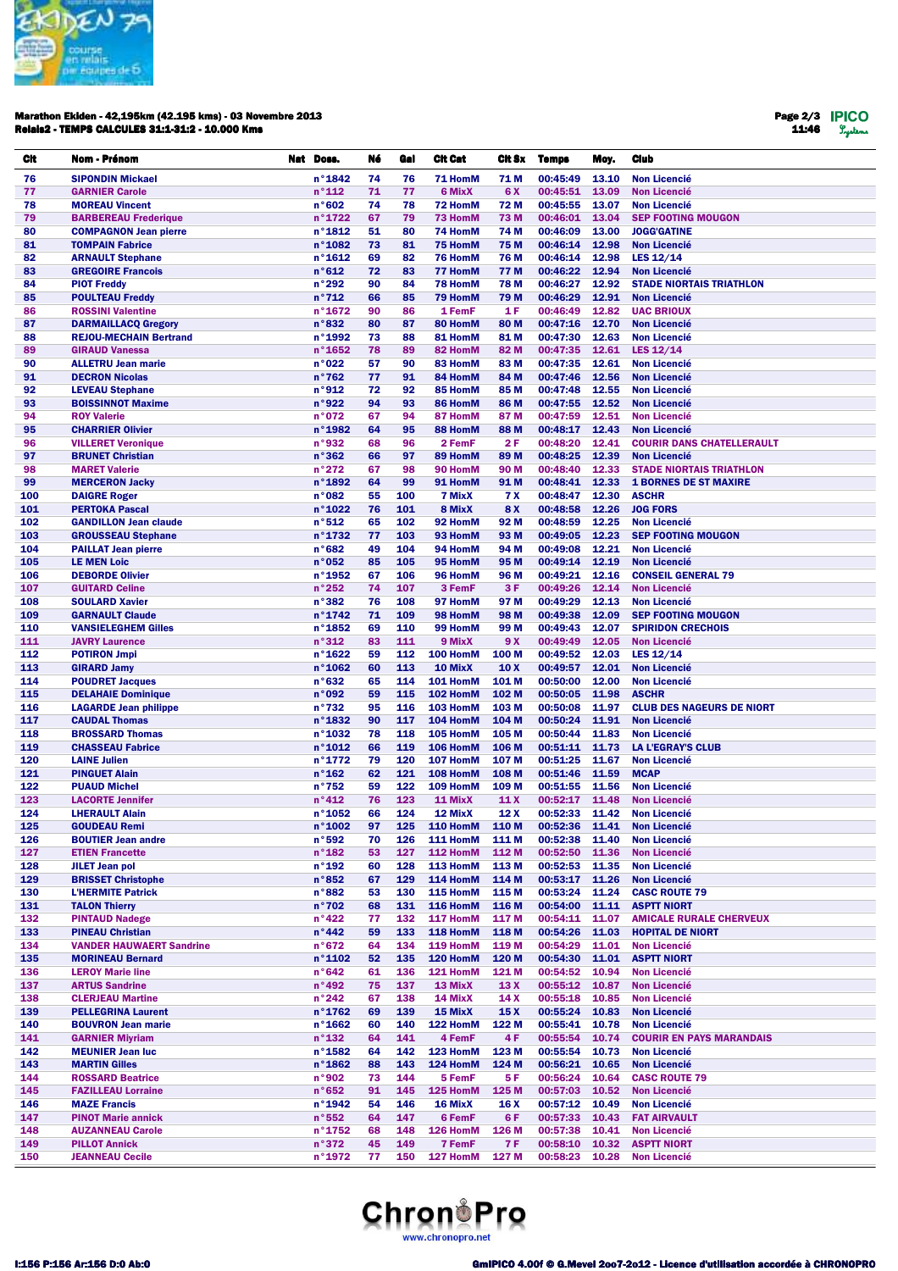

#### Marathon Ekiden - 42,195km (42.195 kms) - 03 Novembre 2013 Relais2 - TEMPS CALCULES 31:1-31:2 - 10.000 Kms

Page 2/3 11:46

| CIt        | Nom - Prénom                                               | Nat Doss.                           | Né       | Gal        | <b>Cit Cat</b>                 | Cit Sx              | <b>Temps</b>         | Moy.           | <b>Club</b>                                               |
|------------|------------------------------------------------------------|-------------------------------------|----------|------------|--------------------------------|---------------------|----------------------|----------------|-----------------------------------------------------------|
| 76         | <b>SIPONDIN Mickael</b>                                    | $n^{\circ}$ 1842                    | 74       | 76         | 71 HomM                        | 71 M                | 00:45:49             | 13.10          | <b>Non Licencié</b>                                       |
| 77         | <b>GARNIER Carole</b>                                      | $n^{\circ}$ 112                     | 71       | 77         | 6 MixX                         | 6 X                 | 00:45:51             | 13.09          | <b>Non Licencié</b>                                       |
| 78         | <b>MOREAU Vincent</b>                                      | n°602                               | 74       | 78         | 72 HomM                        | 72 M                | 00:45:55             | 13.07          | <b>Non Licencié</b>                                       |
| 79         | <b>BARBEREAU Frederique</b>                                | $n^{\circ}$ 1722                    | 67       | 79         | 73 HomM                        | 73 M                | 00:46:01             | 13.04          | <b>SEP FOOTING MOUGON</b>                                 |
| 80         | <b>COMPAGNON Jean pierre</b>                               | $n^{\circ}$ 1812                    | 51       | 80         | 74 HomM                        | 74 M                | 00:46:09             | 13.00          | <b>JOGG'GATINE</b>                                        |
| 81         | <b>TOMPAIN Fabrice</b>                                     | n°1082                              | 73       | 81         | 75 HomM                        | 75 M                | 00:46:14             | 12.98          | <b>Non Licencié</b>                                       |
| 82         | <b>ARNAULT Stephane</b>                                    | $n^{\circ}$ 1612                    | 69       | 82         | 76 HomM                        | 76 M                | 00:46:14             | 12.98          | LES 12/14                                                 |
| 83         | <b>GREGOIRE Francois</b><br><b>PIOT Freddy</b>             | n°612<br>n°292                      | 72<br>90 | 83<br>84   | 77 HomM                        | 77 M<br><b>78 M</b> | 00:46:22<br>00:46:27 | 12.94<br>12.92 | <b>Non Licencié</b><br><b>STADE NIORTAIS TRIATHLON</b>    |
| 84<br>85   | <b>POULTEAU Freddy</b>                                     | $n^{\circ}712$                      | 66       | 85         | 78 HomM<br>79 HomM             | 79 M                | 00:46:29             | 12.91          | <b>Non Licencié</b>                                       |
| 86         | <b>ROSSINI Valentine</b>                                   | $n^{\circ}$ 1672                    | 90       | 86         | 1 FemF                         | 1 F                 | 00:46:49             | 12.82          | <b>UAC BRIOUX</b>                                         |
| 87         | <b>DARMAILLACQ Gregory</b>                                 | n°832                               | 80       | 87         | 80 HomM                        | 80 M                | 00:47:16             | 12.70          | <b>Non Licencié</b>                                       |
| 88         | <b>REJOU-MECHAIN Bertrand</b>                              | n°1992                              | 73       | 88         | 81 HomM                        | 81 M                | 00:47:30             | 12.63          | <b>Non Licencié</b>                                       |
| 89         | <b>GIRAUD Vanessa</b>                                      | $n^{\circ}$ 1652                    | 78       | 89         | 82 HomM                        | 82 M                | 00:47:35             | 12.61          | LES 12/14                                                 |
| 90         | <b>ALLETRU Jean marie</b>                                  | n°022                               | 57       | 90         | 83 HomM                        | 83 M                | 00:47:35             | 12.61          | <b>Non Licencié</b>                                       |
| 91         | <b>DECRON Nicolas</b>                                      | $n^{\circ}762$                      | 77       | 91         | 84 HomM                        | 84 M                | 00:47:46             | 12.56          | <b>Non Licencié</b>                                       |
| 92         | <b>LEVEAU Stephane</b>                                     | n°912                               | 72       | 92         | 85 HomM                        | 85 M                | 00:47:48             | 12.55          | <b>Non Licencié</b>                                       |
| 93<br>94   | <b>BOISSINNOT Maxime</b><br><b>ROY Valerie</b>             | n°922<br>n°072                      | 94<br>67 | 93<br>94   | 86 HomM<br>87 HomM             | 86 M<br>87 M        | 00:47:55<br>00:47:59 | 12.52<br>12.51 | <b>Non Licencié</b><br><b>Non Licencié</b>                |
| 95         | <b>CHARRIER Olivier</b>                                    | n°1982                              | 64       | 95         | 88 HomM                        | 88 M                | 00:48:17             | 12.43          | <b>Non Licencié</b>                                       |
| 96         | <b>VILLERET Veronique</b>                                  | n°932                               | 68       | 96         | 2 FemF                         | 2 F                 | 00:48:20             | 12.41          | <b>COURIR DANS CHATELLERAULT</b>                          |
| 97         | <b>BRUNET Christian</b>                                    | n°362                               | 66       | 97         | 89 HomM                        | 89 M                | 00:48:25             | 12.39          | <b>Non Licencié</b>                                       |
| 98         | <b>MARET Valerie</b>                                       | n°272                               | 67       | 98         | 90 HomM                        | 90 M                | 00:48:40             | 12.33          | <b>STADE NIORTAIS TRIATHLON</b>                           |
| 99         | <b>MERCERON Jacky</b>                                      | n°1892                              | 64       | 99         | 91 HomM                        | 91 M                | 00:48:41             | 12.33          | <b>1 BORNES DE ST MAXIRE</b>                              |
| 100        | <b>DAIGRE Roger</b>                                        | n°082                               | 55       | 100        | 7 MixX                         | <b>7X</b>           | 00:48:47             | 12.30          | <b>ASCHR</b>                                              |
| 101        | <b>PERTOKA Pascal</b>                                      | n°1022                              | 76       | 101        | 8 MixX                         | 8 X                 | 00:48:58             | 12.26          | <b>JOG FORS</b>                                           |
| 102<br>103 | <b>GANDILLON Jean claude</b>                               | n°512<br>$n^{\circ}$ 1732           | 65<br>77 | 102<br>103 | 92 HomM<br>93 HomM             | 92 M<br>93 M        | 00:48:59<br>00:49:05 | 12.25<br>12.23 | <b>Non Licencié</b><br><b>SEP FOOTING MOUGON</b>          |
| 104        | <b>GROUSSEAU Stephane</b><br><b>PAILLAT Jean pierre</b>    | n°682                               | 49       | 104        | 94 HomM                        | 94 M                | 00:49:08             | 12.21          | <b>Non Licencié</b>                                       |
| 105        | <b>LE MEN Loic</b>                                         | n°052                               | 85       | 105        | 95 HomM                        | 95 M                | 00:49:14             | 12.19          | <b>Non Licencié</b>                                       |
| 106        | <b>DEBORDE Olivier</b>                                     | n°1952                              | 67       | 106        | 96 HomM                        | 96 M                | 00:49:21             | 12.16          | <b>CONSEIL GENERAL 79</b>                                 |
| 107        | <b>GUITARD Celine</b>                                      | n°252                               | 74       | 107        | 3 FemF                         | 3 F                 | 00:49:26             | 12.14          | <b>Non Licencié</b>                                       |
| 108        | <b>SOULARD Xavier</b>                                      | n°382                               | 76       | 108        | 97 HomM                        | 97 M                | 00:49:29             | 12.13          | <b>Non Licencié</b>                                       |
| 109        | <b>GARNAULT Claude</b>                                     | n°1742                              | 71       | 109        | 98 HomM                        | 98 M                | 00:49:38             | 12.09          | <b>SEP FOOTING MOUGON</b>                                 |
| 110        | <b>VANSIELEGHEM Gilles</b>                                 | n°1852                              | 69       | 110        | 99 HomM                        | 99 M                | 00:49:43             | 12.07          | <b>SPIRIDON CRECHOIS</b>                                  |
| 111<br>112 | <b>JAVRY Laurence</b><br><b>POTIRON Jmpi</b>               | n°312<br>$n^{\circ}$ 1622           | 83<br>59 | 111<br>112 | 9 MixX<br>100 HomM             | 9 X<br>100 M        | 00:49:49<br>00:49:52 | 12.05<br>12.03 | <b>Non Licencié</b><br>LES $12/14$                        |
| 113        | <b>GIRARD Jamy</b>                                         | n°1062                              | 60       | 113        | 10 MixX                        | 10 <sub>X</sub>     | 00:49:57             | 12.01          | <b>Non Licencié</b>                                       |
| 114        | <b>POUDRET Jacques</b>                                     | n°632                               | 65       | 114        | 101 HomM                       | 101 M               | 00:50:00             | 12.00          | <b>Non Licencié</b>                                       |
| 115        | <b>DELAHAIE Dominique</b>                                  | n°092                               | 59       | 115        | 102 HomM                       | 102 M               | 00:50:05             | 11.98          | <b>ASCHR</b>                                              |
| 116        | <b>LAGARDE Jean philippe</b>                               | $n^{\circ}732$                      | 95       | 116        | 103 HomM                       | 103 M               | 00:50:08             | 11.97          | <b>CLUB DES NAGEURS DE NIORT</b>                          |
| 117        | <b>CAUDAL Thomas</b>                                       | $n^{\circ}$ 1832                    | 90       | 117<br>118 | 104 HomM                       | 104 M               | 00:50:24             | 11.91          | <b>Non Licencié</b>                                       |
| 118<br>119 | <b>BROSSARD Thomas</b><br><b>CHASSEAU Fabrice</b>          | n°1032<br>$n^{\circ}$ 1012          | 78<br>66 | 119        | 105 HomM<br>106 HomM           | 105 M<br>106 M      | 00:50:44<br>00:51:11 | 11.83<br>11.73 | <b>Non Licencié</b><br><b>LA L'EGRAY'S CLUB</b>           |
| 120        | <b>LAINE Julien</b>                                        | n°1772                              | 79       | 120        | 107 HomM                       | 107 M               | 00:51:25             | 11.67          | <b>Non Licencié</b>                                       |
| 121        | <b>PINGUET Alain</b>                                       | $n^{\circ}$ 162                     | 62       | 121        | 108 HomM                       | 108 M               | 00:51:46             | 11.59          | <b>MCAP</b>                                               |
| 122        | <b>PUAUD Michel</b>                                        | $n^{\circ}752$                      | 59       | 122        | 109 HomM                       | 109 M               | 00:51:55             | 11.56          | <b>Non Licencié</b>                                       |
| 123        | <b>LACORTE Jennifer</b>                                    | $n^{\circ}412$                      | 76       | 123        | 11 MixX                        | 11X                 | 00:52:17             | 11.48          | <b>Non Licencié</b>                                       |
| 124        | <b>LHERAULT Alain</b>                                      | $n^{\circ}$ 1052                    | 66       | 124        | 12 MixX                        | 12X                 | 00:52:33 11.42       |                | <b>Non Licencié</b>                                       |
| 125<br>126 | <b>GOUDEAU Remi</b><br><b>BOUTIER Jean andre</b>           | n°1002<br>n°592                     | 97<br>70 | 126        | 125 110 HomM 110 M<br>111 HomM | 111 M               | 00:52:38             | 11.40          | 00:52:36 11.41 Non Licencié<br><b>Non Licencié</b>        |
| 127        | <b>ETIEN Francette</b>                                     | $n^{\circ}$ 182                     | 53       | 127        | 112 HomM                       | 112 M               | 00:52:50             | 11.36          | <b>Non Licencié</b>                                       |
| 128        | <b>JILET Jean pol</b>                                      | $n^{\circ}$ 192                     | 60       | 128        | 113 HomM                       | 113 M               | 00:52:53             | 11.35          | <b>Non Licencié</b>                                       |
| 129        | <b>BRISSET Christophe</b>                                  | n°852                               | 67       | 129        | 114 HomM                       | 114 M               | 00:53:17             | 11.26          | <b>Non Licencié</b>                                       |
| 130        | <b>L'HERMITE Patrick</b>                                   | n°882                               | 53       | 130        | 115 HomM                       | 115 M               | 00:53:24             | 11.24          | <b>CASC ROUTE 79</b>                                      |
| 131        | <b>TALON Thierry</b>                                       | n°702                               | 68       | 131        | 116 HomM                       | 116 M               | 00:54:00             | 11.11          | <b>ASPTT NIORT</b>                                        |
| 132        | <b>PINTAUD Nadege</b>                                      | $n^{\circ}422$                      | 77       | 132        | 117 HomM                       | 117 M               | 00:54:11             | 11.07          | <b>AMICALE RURALE CHERVEUX</b><br><b>HOPITAL DE NIORT</b> |
| 133<br>134 | <b>PINEAU Christian</b><br><b>VANDER HAUWAERT Sandrine</b> | $n^{\circ}442$<br>n°672             | 59<br>64 | 133<br>134 | 118 HomM<br>119 HomM           | 118 M<br>119 M      | 00:54:26<br>00:54:29 | 11.03<br>11.01 | <b>Non Licencié</b>                                       |
| 135        | <b>MORINEAU Bernard</b>                                    | $n^{\circ}$ 1102                    | 52       | 135        | 120 HomM                       | 120 M               | 00:54:30             | 11.01          | <b>ASPTT NIORT</b>                                        |
| 136        | <b>LEROY Marie line</b>                                    | n°642                               | 61       | 136        | 121 HomM                       | 121 M               | 00:54:52             | 10.94          | <b>Non Licencié</b>                                       |
| 137        | <b>ARTUS Sandrine</b>                                      | $n^{\circ}492$                      | 75       | 137        | 13 MixX                        | 13X                 | 00:55:12             | 10.87          | <b>Non Licencié</b>                                       |
| 138        | <b>CLERJEAU Martine</b>                                    | $n^{\circ}242$                      | 67       | 138        | 14 MixX                        | 14 X                | 00:55:18             | 10.85          | <b>Non Licencié</b>                                       |
| 139        | <b>PELLEGRINA Laurent</b>                                  | n°1762                              | 69       | 139        | 15 MixX                        | 15 <sub>X</sub>     | 00:55:24             | 10.83          | <b>Non Licencié</b>                                       |
| 140<br>141 | <b>BOUVRON Jean marie</b><br><b>GARNIER Miyriam</b>        | $n^{\circ}$ 1662<br>$n^{\circ}$ 132 | 60<br>64 | 140<br>141 | 122 HomM<br>4 FemF             | 122 M<br>4F         | 00:55:41<br>00:55:54 | 10.78<br>10.74 | <b>Non Licencié</b><br><b>COURIR EN PAYS MARANDAIS</b>    |
| 142        | <b>MEUNIER Jean luc</b>                                    | $n^{\circ}$ 1582                    | 64       | 142        | 123 HomM                       | 123 M               | 00:55:54             | 10.73          | <b>Non Licencié</b>                                       |
| 143        | <b>MARTIN Gilles</b>                                       | $n^{\circ}$ 1862                    | 88       | 143        | 124 HomM                       | 124 M               | 00:56:21             | 10.65          | <b>Non Licencié</b>                                       |
| 144        | <b>ROSSARD Beatrice</b>                                    | n°902                               | 73       | 144        | 5 FemF                         | 5 F                 | 00:56:24             | 10.64          | <b>CASC ROUTE 79</b>                                      |
| 145        | <b>FAZILLEAU Lorraine</b>                                  | n°652                               | 91       | 145        | 125 HomM                       | 125 M               | 00:57:03             | 10.52          | <b>Non Licencié</b>                                       |
| 146        | <b>MAZE Francis</b>                                        | n°1942                              | 54       | 146        | 16 MixX                        | 16 X                | 00:57:12             | 10.49          | <b>Non Licencié</b>                                       |
| 147<br>148 | <b>PINOT Marie annick</b><br><b>AUZANNEAU Carole</b>       | n°552<br>$n^{\circ}$ 1752           | 64<br>68 | 147<br>148 | 6 FemF<br>126 HomM             | 6 F<br>126 M        | 00:57:33<br>00:57:38 | 10.43<br>10.41 | <b>FAT AIRVAULT</b><br><b>Non Licencié</b>                |
| 149        | <b>PILLOT Annick</b>                                       | n°372                               | 45       | 149        | 7 FemF                         | 7 F                 | 00:58:10             | 10.32          | <b>ASPTT NIORT</b>                                        |
| 150        | <b>JEANNEAU Cecile</b>                                     | $n^{\circ}$ 1972                    | 77       | 150        | 127 HomM                       | 127 M               | 00:58:23             | 10.28          | <b>Non Licencié</b>                                       |